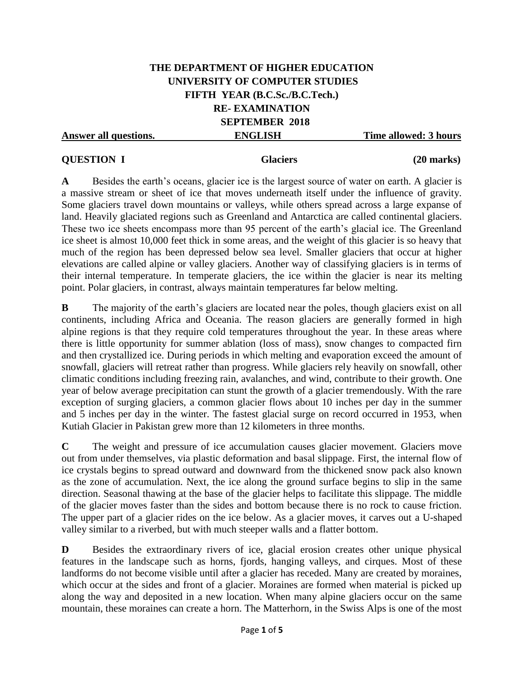## **THE DEPARTMENT OF HIGHER EDUCATION UNIVERSITY OF COMPUTER STUDIES FIFTH YEAR (B.C.Sc./B.C.Tech.) RE- EXAMINATION SEPTEMBER 2018 Answer all questions. ENGLISH Time allowed: 3 hours**

#### **QUESTION I** Glaciers (20 marks)

**A** Besides the earth's oceans, glacier ice is the largest source of water on earth. A glacier is a massive stream or sheet of ice that moves underneath itself under the influence of gravity. Some glaciers travel down mountains or valleys, while others spread across a large expanse of land. Heavily glaciated regions such as Greenland and Antarctica are called continental glaciers. These two ice sheets encompass more than 95 percent of the earth's glacial ice. The Greenland ice sheet is almost 10,000 feet thick in some areas, and the weight of this glacier is so heavy that much of the region has been depressed below sea level. Smaller glaciers that occur at higher elevations are called alpine or valley glaciers. Another way of classifying glaciers is in terms of their internal temperature. In temperate glaciers, the ice within the glacier is near its melting point. Polar glaciers, in contrast, always maintain temperatures far below melting.

**B** The majority of the earth's glaciers are located near the poles, though glaciers exist on all continents, including Africa and Oceania. The reason glaciers are generally formed in high alpine regions is that they require cold temperatures throughout the year. In these areas where there is little opportunity for summer ablation (loss of mass), snow changes to compacted firn and then crystallized ice. During periods in which melting and evaporation exceed the amount of snowfall, glaciers will retreat rather than progress. While glaciers rely heavily on snowfall, other climatic conditions including freezing rain, avalanches, and wind, contribute to their growth. One year of below average precipitation can stunt the growth of a glacier tremendously. With the rare exception of surging glaciers, a common glacier flows about 10 inches per day in the summer and 5 inches per day in the winter. The fastest glacial surge on record occurred in 1953, when Kutiah Glacier in Pakistan grew more than 12 kilometers in three months.

**C** The weight and pressure of ice accumulation causes glacier movement. Glaciers move out from under themselves, via plastic deformation and basal slippage. First, the internal flow of ice crystals begins to spread outward and downward from the thickened snow pack also known as the zone of accumulation. Next, the ice along the ground surface begins to slip in the same direction. Seasonal thawing at the base of the glacier helps to facilitate this slippage. The middle of the glacier moves faster than the sides and bottom because there is no rock to cause friction. The upper part of a glacier rides on the ice below. As a glacier moves, it carves out a U-shaped valley similar to a riverbed, but with much steeper walls and a flatter bottom.

**D** Besides the extraordinary rivers of ice, glacial erosion creates other unique physical features in the landscape such as horns, fjords, hanging valleys, and cirques. Most of these landforms do not become visible until after a glacier has receded. Many are created by moraines, which occur at the sides and front of a glacier. Moraines are formed when material is picked up along the way and deposited in a new location. When many alpine glaciers occur on the same mountain, these moraines can create a horn. The Matterhorn, in the Swiss Alps is one of the most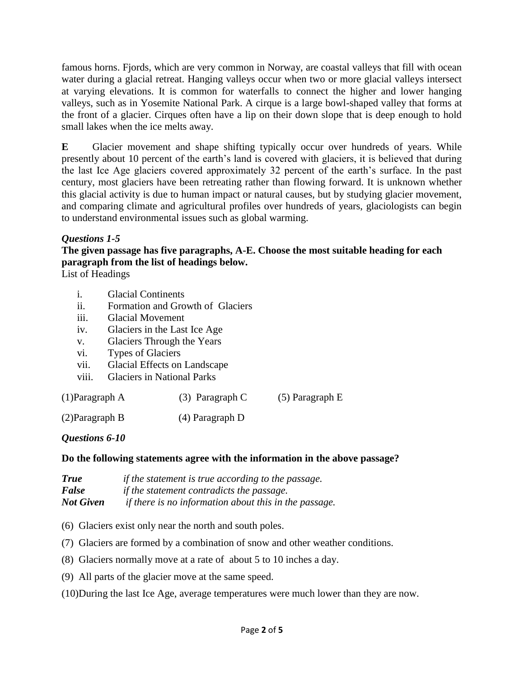famous horns. Fjords, which are very common in Norway, are coastal valleys that fill with ocean water during a glacial retreat. Hanging valleys occur when two or more glacial valleys intersect at varying elevations. It is common for waterfalls to connect the higher and lower hanging valleys, such as in Yosemite National Park. A cirque is a large bowl-shaped valley that forms at the front of a glacier. Cirques often have a lip on their down slope that is deep enough to hold small lakes when the ice melts away.

**E** Glacier movement and shape shifting typically occur over hundreds of years. While presently about 10 percent of the earth's land is covered with glaciers, it is believed that during the last Ice Age glaciers covered approximately 32 percent of the earth's surface. In the past century, most glaciers have been retreating rather than flowing forward. It is unknown whether this glacial activity is due to human impact or natural causes, but by studying glacier movement, and comparing climate and agricultural profiles over hundreds of years, glaciologists can begin to understand environmental issues such as global warming.

## *Questions 1-5*

### **The given passage has five paragraphs, A-E. Choose the most suitable heading for each paragraph from the list of headings below.**

List of Headings

- i. Glacial Continents
- ii. Formation and Growth of Glaciers
- iii. Glacial Movement
- iv. Glaciers in the Last Ice Age
- v. Glaciers Through the Years
- vi. Types of Glaciers
- vii. Glacial Effects on Landscape
- viii. Glaciers in National Parks

(1)Paragraph A (3) Paragraph C (5) Paragraph E (2)Paragraph B (4) Paragraph D

*Questions 6-10*

### **Do the following statements agree with the information in the above passage?**

| <b>True</b>      | if the statement is true according to the passage.    |
|------------------|-------------------------------------------------------|
| False            | if the statement contradicts the passage.             |
| <b>Not Given</b> | if there is no information about this in the passage. |

- (6) Glaciers exist only near the north and south poles.
- (7) Glaciers are formed by a combination of snow and other weather conditions.
- (8) Glaciers normally move at a rate of about 5 to 10 inches a day.
- (9) All parts of the glacier move at the same speed.
- (10)During the last Ice Age, average temperatures were much lower than they are now.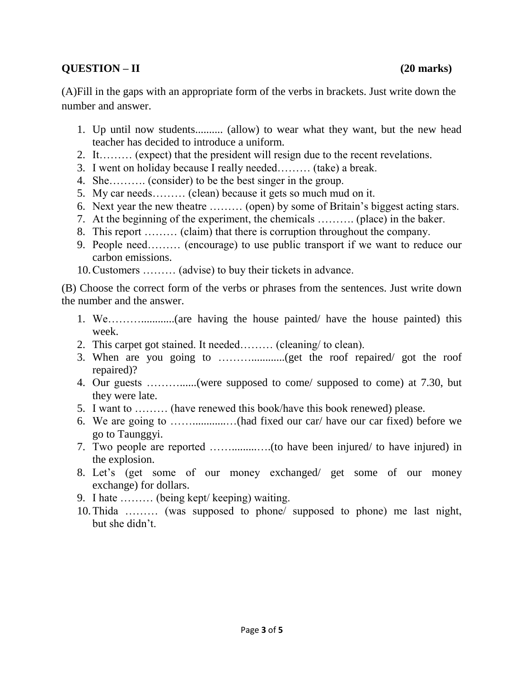## **QUESTION – II (20 marks)**

(A)Fill in the gaps with an appropriate form of the verbs in brackets. Just write down the number and answer.

- 1. Up until now students.......... (allow) to wear what they want, but the new head teacher has decided to introduce a uniform.
- 2. It……… (expect) that the president will resign due to the recent revelations.
- 3. I went on holiday because I really needed……… (take) a break.
- 4. She………. (consider) to be the best singer in the group.
- 5. My car needs……… (clean) because it gets so much mud on it.
- 6. Next year the new theatre ……… (open) by some of Britain's biggest acting stars.
- 7. At the beginning of the experiment, the chemicals ………. (place) in the baker.
- 8. This report ……… (claim) that there is corruption throughout the company.
- 9. People need……… (encourage) to use public transport if we want to reduce our carbon emissions.
- 10.Customers ……… (advise) to buy their tickets in advance.

(B) Choose the correct form of the verbs or phrases from the sentences. Just write down the number and the answer.

- 1. We………............(are having the house painted/ have the house painted) this week.
- 2. This carpet got stained. It needed……… (cleaning/ to clean).
- 3. When are you going to ………............(get the roof repaired/ got the roof repaired)?
- 4. Our guests ………......(were supposed to come/ supposed to come) at 7.30, but they were late.
- 5. I want to ……… (have renewed this book/have this book renewed) please.
- 6. We are going to ……............…(had fixed our car/ have our car fixed) before we go to Taunggyi.
- 7. Two people are reported …….........….(to have been injured/ to have injured) in the explosion.
- 8. Let's (get some of our money exchanged/ get some of our money exchange) for dollars.
- 9. I hate ……… (being kept/ keeping) waiting.
- 10.Thida ……… (was supposed to phone/ supposed to phone) me last night, but she didn't.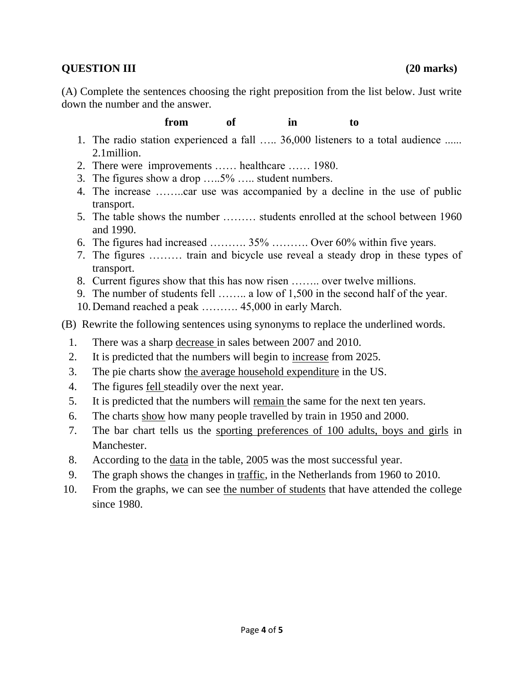## **QUESTION III** (20 marks)

(A) Complete the sentences choosing the right preposition from the list below. Just write down the number and the answer.

#### **from of in to**

- 1. The radio station experienced a fall ….. 36,000 listeners to a total audience ...... 2.1million.
- 2. There were improvements …… healthcare …… 1980.
- 3. The figures show a drop …..5% ….. student numbers.
- 4. The increase ……..car use was accompanied by a decline in the use of public transport.
- 5. The table shows the number ……… students enrolled at the school between 1960 and 1990.
- 6. The figures had increased ………. 35% ………. Over 60% within five years.
- 7. The figures ……… train and bicycle use reveal a steady drop in these types of transport.
- 8. Current figures show that this has now risen …….. over twelve millions.
- 9. The number of students fell …….. a low of 1,500 in the second half of the year.
- 10.Demand reached a peak ………. 45,000 in early March.
- (B) Rewrite the following sentences using synonyms to replace the underlined words.
	- 1. There was a sharp decrease in sales between 2007 and 2010.
	- 2. It is predicted that the numbers will begin to increase from 2025.
	- 3. The pie charts show the average household expenditure in the US.
	- 4. The figures fell steadily over the next year.
	- 5. It is predicted that the numbers will remain the same for the next ten years.
	- 6. The charts show how many people travelled by train in 1950 and 2000.
	- 7. The bar chart tells us the sporting preferences of 100 adults, boys and girls in Manchester.
	- 8. According to the data in the table, 2005 was the most successful year.
	- 9. The graph shows the changes in traffic, in the Netherlands from 1960 to 2010.
- 10. From the graphs, we can see the number of students that have attended the college since 1980.